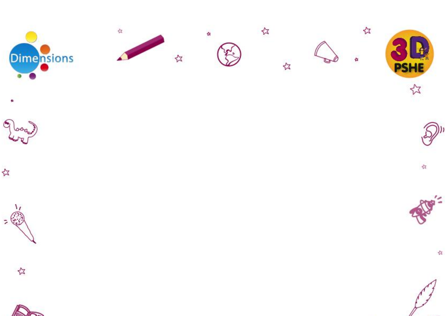









☆



公





à

 $\boldsymbol{\hat{\mathbf{z}}}$ 













存

存